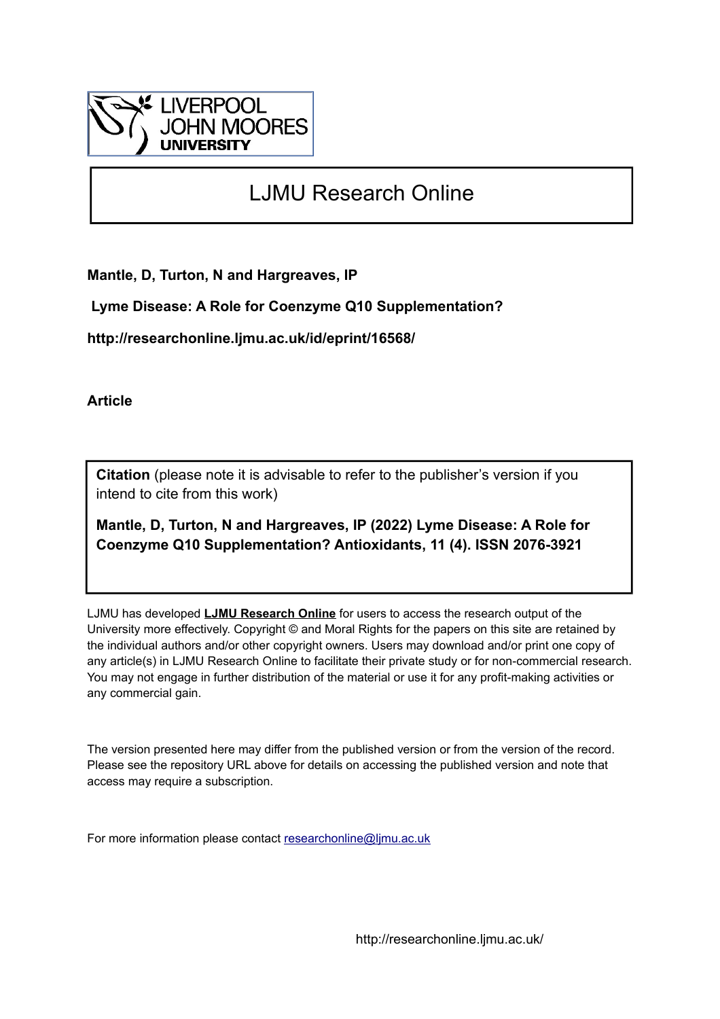

# LJMU Research Online

**Mantle, D, Turton, N and Hargreaves, IP**

 **Lyme Disease: A Role for Coenzyme Q10 Supplementation?**

**http://researchonline.ljmu.ac.uk/id/eprint/16568/**

**Article**

**Citation** (please note it is advisable to refer to the publisher's version if you intend to cite from this work)

**Mantle, D, Turton, N and Hargreaves, IP (2022) Lyme Disease: A Role for Coenzyme Q10 Supplementation? Antioxidants, 11 (4). ISSN 2076-3921** 

LJMU has developed **[LJMU Research Online](http://researchonline.ljmu.ac.uk/)** for users to access the research output of the University more effectively. Copyright © and Moral Rights for the papers on this site are retained by the individual authors and/or other copyright owners. Users may download and/or print one copy of any article(s) in LJMU Research Online to facilitate their private study or for non-commercial research. You may not engage in further distribution of the material or use it for any profit-making activities or any commercial gain.

The version presented here may differ from the published version or from the version of the record. Please see the repository URL above for details on accessing the published version and note that access may require a subscription.

For more information please contact [researchonline@ljmu.ac.uk](mailto:researchonline@ljmu.ac.uk)

http://researchonline.ljmu.ac.uk/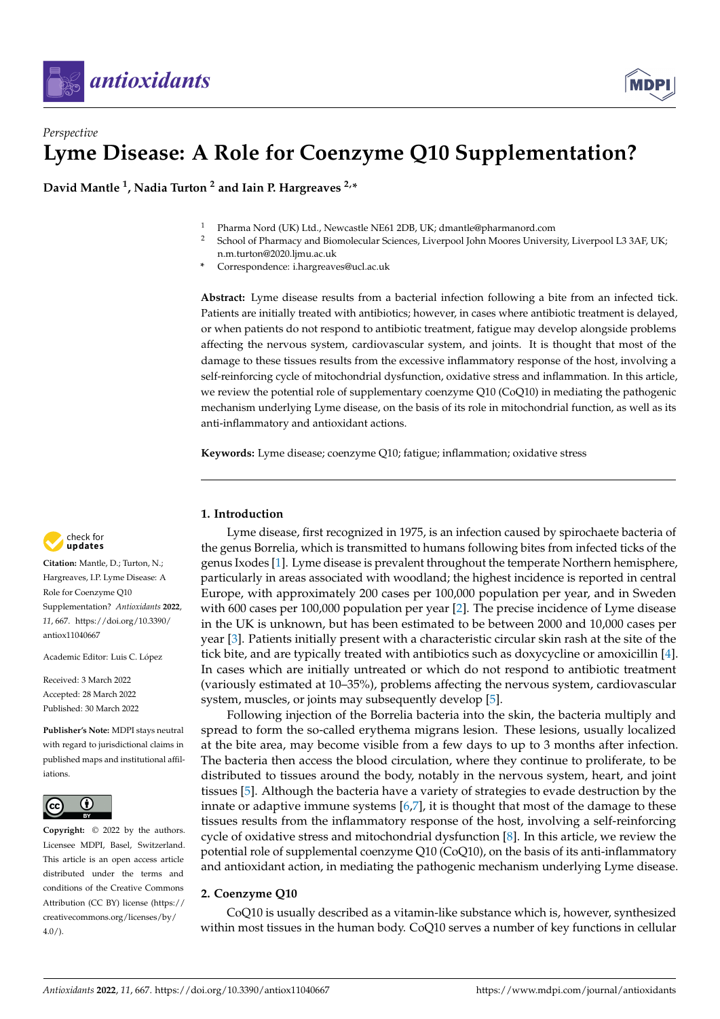

## *Perspective* **Lyme Disease: A Role for Coenzyme Q10 Supplementation?**

**David Mantle <sup>1</sup> , Nadia Turton <sup>2</sup> and Iain P. Hargreaves 2,\***

- <sup>1</sup> Pharma Nord (UK) Ltd., Newcastle NE61 2DB, UK; dmantle@pharmanord.com
- <sup>2</sup> School of Pharmacy and Biomolecular Sciences, Liverpool John Moores University, Liverpool L3 3AF, UK; n.m.turton@2020.ljmu.ac.uk
- **\*** Correspondence: i.hargreaves@ucl.ac.uk

**Abstract:** Lyme disease results from a bacterial infection following a bite from an infected tick. Patients are initially treated with antibiotics; however, in cases where antibiotic treatment is delayed, or when patients do not respond to antibiotic treatment, fatigue may develop alongside problems affecting the nervous system, cardiovascular system, and joints. It is thought that most of the damage to these tissues results from the excessive inflammatory response of the host, involving a self-reinforcing cycle of mitochondrial dysfunction, oxidative stress and inflammation. In this article, we review the potential role of supplementary coenzyme Q10 (CoQ10) in mediating the pathogenic mechanism underlying Lyme disease, on the basis of its role in mitochondrial function, as well as its anti-inflammatory and antioxidant actions.

**Keywords:** Lyme disease; coenzyme Q10; fatigue; inflammation; oxidative stress

#### **1. Introduction**

Lyme disease, first recognized in 1975, is an infection caused by spirochaete bacteria of the genus Borrelia, which is transmitted to humans following bites from infected ticks of the genus Ixodes [\[1\]](#page-6-0). Lyme disease is prevalent throughout the temperate Northern hemisphere, particularly in areas associated with woodland; the highest incidence is reported in central Europe, with approximately 200 cases per 100,000 population per year, and in Sweden with 600 cases per 100,000 population per year [\[2\]](#page-6-1). The precise incidence of Lyme disease in the UK is unknown, but has been estimated to be between 2000 and 10,000 cases per year [\[3\]](#page-6-2). Patients initially present with a characteristic circular skin rash at the site of the tick bite, and are typically treated with antibiotics such as doxycycline or amoxicillin [\[4\]](#page-6-3). In cases which are initially untreated or which do not respond to antibiotic treatment (variously estimated at 10–35%), problems affecting the nervous system, cardiovascular system, muscles, or joints may subsequently develop [\[5\]](#page-6-4).

Following injection of the Borrelia bacteria into the skin, the bacteria multiply and spread to form the so-called erythema migrans lesion. These lesions, usually localized at the bite area, may become visible from a few days to up to 3 months after infection. The bacteria then access the blood circulation, where they continue to proliferate, to be distributed to tissues around the body, notably in the nervous system, heart, and joint tissues [\[5\]](#page-6-4). Although the bacteria have a variety of strategies to evade destruction by the innate or adaptive immune systems  $[6,7]$  $[6,7]$ , it is thought that most of the damage to these tissues results from the inflammatory response of the host, involving a self-reinforcing cycle of oxidative stress and mitochondrial dysfunction [\[8\]](#page-6-7). In this article, we review the potential role of supplemental coenzyme Q10 (CoQ10), on the basis of its anti-inflammatory and antioxidant action, in mediating the pathogenic mechanism underlying Lyme disease.

#### **2. Coenzyme Q10**

CoQ10 is usually described as a vitamin-like substance which is, however, synthesized within most tissues in the human body. CoQ10 serves a number of key functions in cellular



**Citation:** Mantle, D.; Turton, N.; Hargreaves, I.P. Lyme Disease: A Role for Coenzyme Q10 Supplementation? *Antioxidants* **2022**, *11*, 667. [https://doi.org/10.3390/](https://doi.org/10.3390/antiox11040667) [antiox11040667](https://doi.org/10.3390/antiox11040667)

Academic Editor: Luis C. López

Received: 3 March 2022 Accepted: 28 March 2022 Published: 30 March 2022

**Publisher's Note:** MDPI stays neutral with regard to jurisdictional claims in published maps and institutional affiliations.



**Copyright:** © 2022 by the authors. Licensee MDPI, Basel, Switzerland. This article is an open access article distributed under the terms and conditions of the Creative Commons Attribution (CC BY) license [\(https://](https://creativecommons.org/licenses/by/4.0/) [creativecommons.org/licenses/by/](https://creativecommons.org/licenses/by/4.0/)  $4.0/$ ).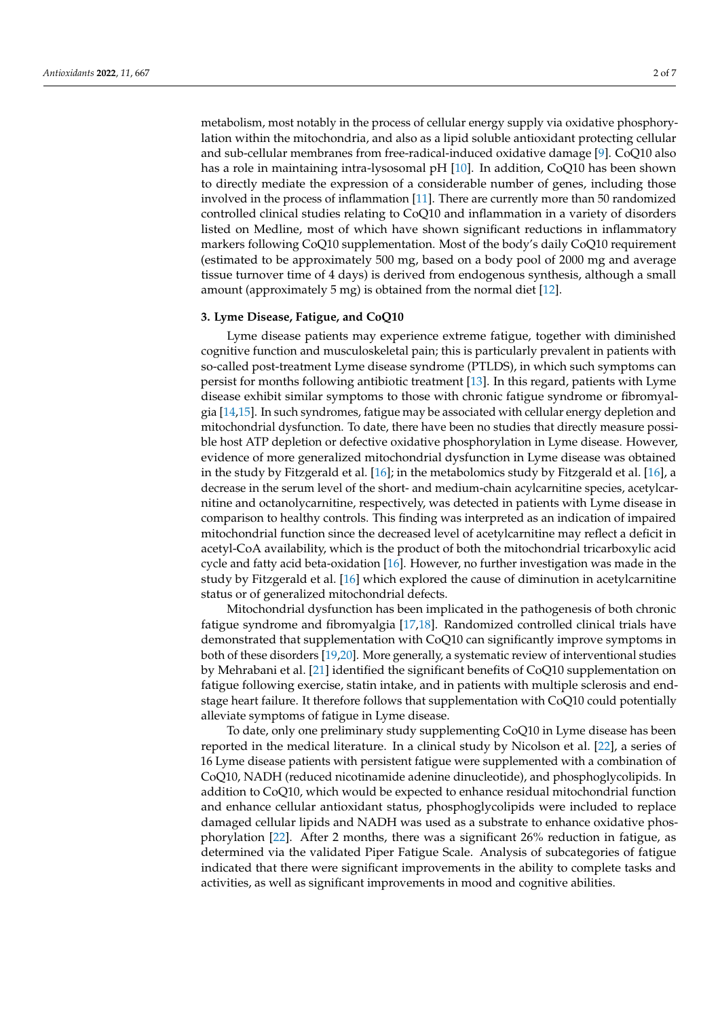metabolism, most notably in the process of cellular energy supply via oxidative phosphorylation within the mitochondria, and also as a lipid soluble antioxidant protecting cellular and sub-cellular membranes from free-radical-induced oxidative damage [\[9\]](#page-6-8). CoQ10 also has a role in maintaining intra-lysosomal pH [\[10\]](#page-6-9). In addition, CoQ10 has been shown to directly mediate the expression of a considerable number of genes, including those involved in the process of inflammation [\[11\]](#page-6-10). There are currently more than 50 randomized controlled clinical studies relating to CoQ10 and inflammation in a variety of disorders listed on Medline, most of which have shown significant reductions in inflammatory markers following CoQ10 supplementation. Most of the body's daily CoQ10 requirement (estimated to be approximately 500 mg, based on a body pool of 2000 mg and average tissue turnover time of 4 days) is derived from endogenous synthesis, although a small amount (approximately 5 mg) is obtained from the normal diet [\[12\]](#page-6-11).

### **3. Lyme Disease, Fatigue, and CoQ10**

Lyme disease patients may experience extreme fatigue, together with diminished cognitive function and musculoskeletal pain; this is particularly prevalent in patients with so-called post-treatment Lyme disease syndrome (PTLDS), in which such symptoms can persist for months following antibiotic treatment [\[13\]](#page-6-12). In this regard, patients with Lyme disease exhibit similar symptoms to those with chronic fatigue syndrome or fibromyalgia [\[14,](#page-6-13)[15\]](#page-6-14). In such syndromes, fatigue may be associated with cellular energy depletion and mitochondrial dysfunction. To date, there have been no studies that directly measure possible host ATP depletion or defective oxidative phosphorylation in Lyme disease. However, evidence of more generalized mitochondrial dysfunction in Lyme disease was obtained in the study by Fitzgerald et al. [\[16\]](#page-6-15); in the metabolomics study by Fitzgerald et al. [\[16\]](#page-6-15), a decrease in the serum level of the short- and medium-chain acylcarnitine species, acetylcarnitine and octanolycarnitine, respectively, was detected in patients with Lyme disease in comparison to healthy controls. This finding was interpreted as an indication of impaired mitochondrial function since the decreased level of acetylcarnitine may reflect a deficit in acetyl-CoA availability, which is the product of both the mitochondrial tricarboxylic acid cycle and fatty acid beta-oxidation [\[16\]](#page-6-15). However, no further investigation was made in the study by Fitzgerald et al. [\[16\]](#page-6-15) which explored the cause of diminution in acetylcarnitine status or of generalized mitochondrial defects.

Mitochondrial dysfunction has been implicated in the pathogenesis of both chronic fatigue syndrome and fibromyalgia [\[17](#page-6-16)[,18\]](#page-6-17). Randomized controlled clinical trials have demonstrated that supplementation with CoQ10 can significantly improve symptoms in both of these disorders [\[19](#page-6-18)[,20\]](#page-6-19). More generally, a systematic review of interventional studies by Mehrabani et al. [\[21\]](#page-6-20) identified the significant benefits of CoQ10 supplementation on fatigue following exercise, statin intake, and in patients with multiple sclerosis and endstage heart failure. It therefore follows that supplementation with CoQ10 could potentially alleviate symptoms of fatigue in Lyme disease.

To date, only one preliminary study supplementing CoQ10 in Lyme disease has been reported in the medical literature. In a clinical study by Nicolson et al. [\[22\]](#page-6-21), a series of 16 Lyme disease patients with persistent fatigue were supplemented with a combination of CoQ10, NADH (reduced nicotinamide adenine dinucleotide), and phosphoglycolipids. In addition to CoQ10, which would be expected to enhance residual mitochondrial function and enhance cellular antioxidant status, phosphoglycolipids were included to replace damaged cellular lipids and NADH was used as a substrate to enhance oxidative phosphorylation [\[22\]](#page-6-21). After 2 months, there was a significant 26% reduction in fatigue, as determined via the validated Piper Fatigue Scale. Analysis of subcategories of fatigue indicated that there were significant improvements in the ability to complete tasks and activities, as well as significant improvements in mood and cognitive abilities.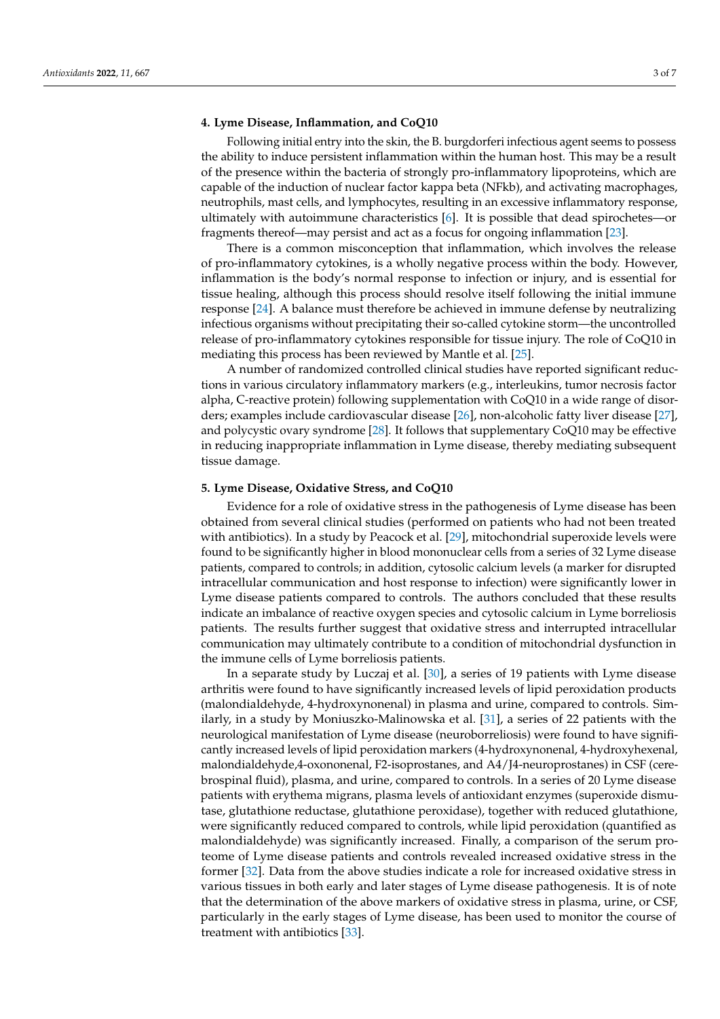#### **4. Lyme Disease, Inflammation, and CoQ10**

Following initial entry into the skin, the B. burgdorferi infectious agent seems to possess the ability to induce persistent inflammation within the human host. This may be a result of the presence within the bacteria of strongly pro-inflammatory lipoproteins, which are capable of the induction of nuclear factor kappa beta (NFkb), and activating macrophages, neutrophils, mast cells, and lymphocytes, resulting in an excessive inflammatory response, ultimately with autoimmune characteristics [\[6\]](#page-6-5). It is possible that dead spirochetes—or fragments thereof—may persist and act as a focus for ongoing inflammation [\[23\]](#page-6-22).

There is a common misconception that inflammation, which involves the release of pro-inflammatory cytokines, is a wholly negative process within the body. However, inflammation is the body's normal response to infection or injury, and is essential for tissue healing, although this process should resolve itself following the initial immune response [\[24\]](#page-6-23). A balance must therefore be achieved in immune defense by neutralizing infectious organisms without precipitating their so-called cytokine storm—the uncontrolled release of pro-inflammatory cytokines responsible for tissue injury. The role of CoQ10 in mediating this process has been reviewed by Mantle et al. [\[25\]](#page-6-24).

A number of randomized controlled clinical studies have reported significant reductions in various circulatory inflammatory markers (e.g., interleukins, tumor necrosis factor alpha, C-reactive protein) following supplementation with CoQ10 in a wide range of disorders; examples include cardiovascular disease [\[26\]](#page-6-25), non-alcoholic fatty liver disease [\[27\]](#page-7-0), and polycystic ovary syndrome [\[28\]](#page-7-1). It follows that supplementary CoQ10 may be effective in reducing inappropriate inflammation in Lyme disease, thereby mediating subsequent tissue damage.

#### **5. Lyme Disease, Oxidative Stress, and CoQ10**

Evidence for a role of oxidative stress in the pathogenesis of Lyme disease has been obtained from several clinical studies (performed on patients who had not been treated with antibiotics). In a study by Peacock et al. [\[29\]](#page-7-2), mitochondrial superoxide levels were found to be significantly higher in blood mononuclear cells from a series of 32 Lyme disease patients, compared to controls; in addition, cytosolic calcium levels (a marker for disrupted intracellular communication and host response to infection) were significantly lower in Lyme disease patients compared to controls. The authors concluded that these results indicate an imbalance of reactive oxygen species and cytosolic calcium in Lyme borreliosis patients. The results further suggest that oxidative stress and interrupted intracellular communication may ultimately contribute to a condition of mitochondrial dysfunction in the immune cells of Lyme borreliosis patients.

In a separate study by Luczaj et al. [\[30\]](#page-7-3), a series of 19 patients with Lyme disease arthritis were found to have significantly increased levels of lipid peroxidation products (malondialdehyde, 4-hydroxynonenal) in plasma and urine, compared to controls. Similarly, in a study by Moniuszko-Malinowska et al. [\[31\]](#page-7-4), a series of 22 patients with the neurological manifestation of Lyme disease (neuroborreliosis) were found to have significantly increased levels of lipid peroxidation markers (4-hydroxynonenal, 4-hydroxyhexenal, malondialdehyde,4-oxononenal, F2-isoprostanes, and A4/J4-neuroprostanes) in CSF (cerebrospinal fluid), plasma, and urine, compared to controls. In a series of 20 Lyme disease patients with erythema migrans, plasma levels of antioxidant enzymes (superoxide dismutase, glutathione reductase, glutathione peroxidase), together with reduced glutathione, were significantly reduced compared to controls, while lipid peroxidation (quantified as malondialdehyde) was significantly increased. Finally, a comparison of the serum proteome of Lyme disease patients and controls revealed increased oxidative stress in the former [\[32\]](#page-7-5). Data from the above studies indicate a role for increased oxidative stress in various tissues in both early and later stages of Lyme disease pathogenesis. It is of note that the determination of the above markers of oxidative stress in plasma, urine, or CSF, particularly in the early stages of Lyme disease, has been used to monitor the course of treatment with antibiotics [\[33\]](#page-7-6).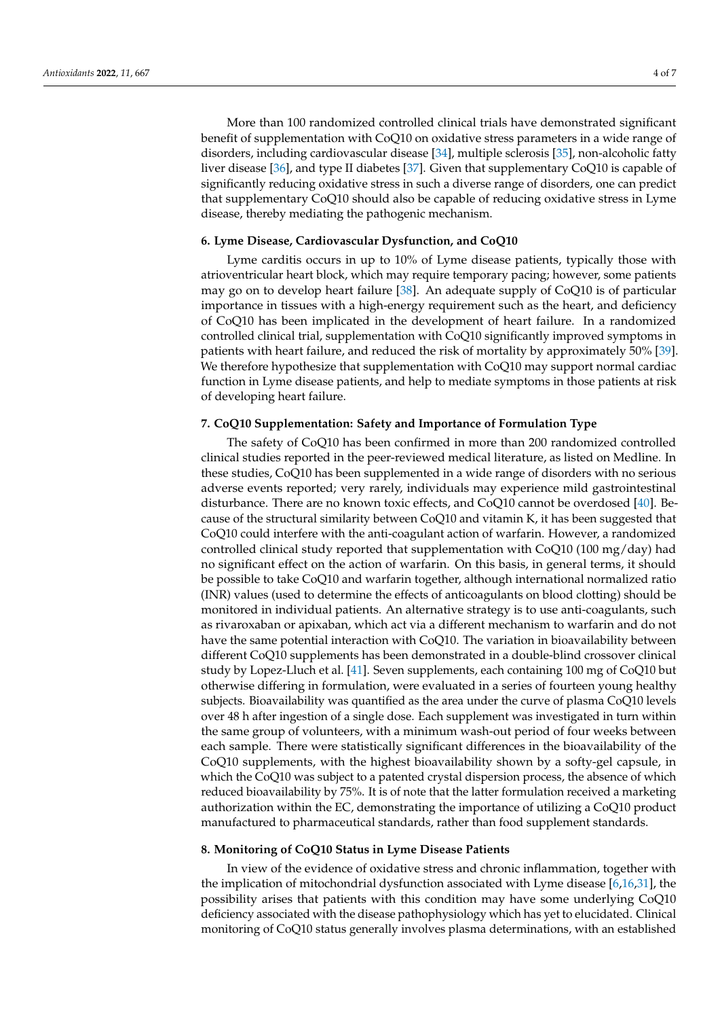More than 100 randomized controlled clinical trials have demonstrated significant benefit of supplementation with CoQ10 on oxidative stress parameters in a wide range of disorders, including cardiovascular disease [\[34\]](#page-7-7), multiple sclerosis [\[35\]](#page-7-8), non-alcoholic fatty liver disease [\[36\]](#page-7-9), and type II diabetes [\[37\]](#page-7-10). Given that supplementary CoQ10 is capable of significantly reducing oxidative stress in such a diverse range of disorders, one can predict that supplementary CoQ10 should also be capable of reducing oxidative stress in Lyme disease, thereby mediating the pathogenic mechanism.

#### **6. Lyme Disease, Cardiovascular Dysfunction, and CoQ10**

Lyme carditis occurs in up to 10% of Lyme disease patients, typically those with atrioventricular heart block, which may require temporary pacing; however, some patients may go on to develop heart failure [\[38\]](#page-7-11). An adequate supply of CoQ10 is of particular importance in tissues with a high-energy requirement such as the heart, and deficiency of CoQ10 has been implicated in the development of heart failure. In a randomized controlled clinical trial, supplementation with CoQ10 significantly improved symptoms in patients with heart failure, and reduced the risk of mortality by approximately 50% [\[39\]](#page-7-12). We therefore hypothesize that supplementation with CoQ10 may support normal cardiac function in Lyme disease patients, and help to mediate symptoms in those patients at risk of developing heart failure.

#### **7. CoQ10 Supplementation: Safety and Importance of Formulation Type**

The safety of CoQ10 has been confirmed in more than 200 randomized controlled clinical studies reported in the peer-reviewed medical literature, as listed on Medline. In these studies, CoQ10 has been supplemented in a wide range of disorders with no serious adverse events reported; very rarely, individuals may experience mild gastrointestinal disturbance. There are no known toxic effects, and CoQ10 cannot be overdosed [\[40\]](#page-7-13). Because of the structural similarity between CoQ10 and vitamin K, it has been suggested that CoQ10 could interfere with the anti-coagulant action of warfarin. However, a randomized controlled clinical study reported that supplementation with CoQ10 (100 mg/day) had no significant effect on the action of warfarin. On this basis, in general terms, it should be possible to take CoQ10 and warfarin together, although international normalized ratio (INR) values (used to determine the effects of anticoagulants on blood clotting) should be monitored in individual patients. An alternative strategy is to use anti-coagulants, such as rivaroxaban or apixaban, which act via a different mechanism to warfarin and do not have the same potential interaction with CoQ10. The variation in bioavailability between different CoQ10 supplements has been demonstrated in a double-blind crossover clinical study by Lopez-Lluch et al. [\[41\]](#page-7-14). Seven supplements, each containing 100 mg of CoQ10 but otherwise differing in formulation, were evaluated in a series of fourteen young healthy subjects. Bioavailability was quantified as the area under the curve of plasma CoQ10 levels over 48 h after ingestion of a single dose. Each supplement was investigated in turn within the same group of volunteers, with a minimum wash-out period of four weeks between each sample. There were statistically significant differences in the bioavailability of the CoQ10 supplements, with the highest bioavailability shown by a softy-gel capsule, in which the CoQ10 was subject to a patented crystal dispersion process, the absence of which reduced bioavailability by 75%. It is of note that the latter formulation received a marketing authorization within the EC, demonstrating the importance of utilizing a CoQ10 product manufactured to pharmaceutical standards, rather than food supplement standards.

#### **8. Monitoring of CoQ10 Status in Lyme Disease Patients**

In view of the evidence of oxidative stress and chronic inflammation, together with the implication of mitochondrial dysfunction associated with Lyme disease [\[6](#page-6-5)[,16](#page-6-15)[,31\]](#page-7-4), the possibility arises that patients with this condition may have some underlying CoQ10 deficiency associated with the disease pathophysiology which has yet to elucidated. Clinical monitoring of CoQ10 status generally involves plasma determinations, with an established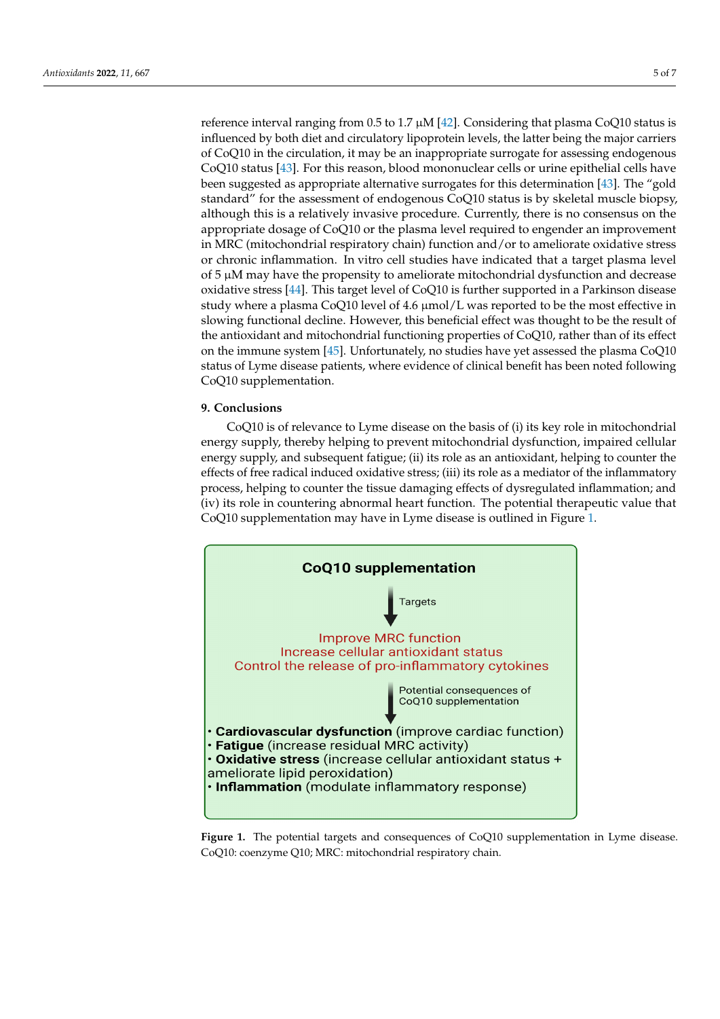reference interval ranging from 0.5 to 1.7  $\mu$ M [\[42\]](#page-7-15). Considering that plasma CoQ10 status is influenced by both diet and circulatory lipoprotein levels, the latter being the major carriers of CoQ10 in the circulation, it may be an inappropriate surrogate for assessing endogenous CoQ10 status [\[43\]](#page-7-16). For this reason, blood mononuclear cells or urine epithelial cells have been suggested as appropriate alternative surrogates for this determination [\[43\]](#page-7-16). The "gold standard" for the assessment of endogenous CoQ10 status is by skeletal muscle biopsy, although this is a relatively invasive procedure. Currently, there is no consensus on the appropriate dosage of CoQ10 or the plasma level required to engender an improvement in MRC (mitochondrial respiratory chain) function and/or to ameliorate oxidative stress or chronic inflammation. In vitro cell studies have indicated that a target plasma level<br> $\overline{G}$ of 5 μM may have the propensity to ameliorate mitochondrial dysfunction and decrease<br>supported in a Parkinson disease study where a plasma CoQ10 is further a property disease allows a plasma disease oxidative stress [\[44\]](#page-7-17). This target level of CoQ10 is further supported in a Parkinson disease study where a plasma CoQ10 level of 4.6 µmol/L was reported to be the most effective in slowing functional decline. However, this beneficial effect was thought to be the result of slowing functional decline. However, this beneficial effect was thought to be the result of proving rate than accenties. The weiver, and between ences was alwaged to be the result of the antioxidant and mitochondrial functioning properties of CoQ10, rather than of its effect on the immune system  $[45]$ . Unfortunately, no studies have yet assessed the plasma CoQ10 evidence in the minimize by steam property of clinical benefit has been noted following status of Lyme disease patients, where evidence of clinical benefit has been noted following CoQ10 supplementation.

#### **9. Conclusions**  $\alpha$  is of relevance to  $\alpha$  is the basis of (i) its key role in mitochondrial in mitochondrial in mitochondrial in mitochondrial in mitochondrial in mitochondrial in mitochondrial in mitochondrial in mitochondrial in mit

CoQ10 is of relevance to Lyme disease on the basis of (i) its key role in mitochondrial energy supply, thereby helping to prevent mitochondrial dysfunction, impaired cellular energy supply, and subsequent fatigue; (ii) its role as an antioxidant, helping to counter the effects of free radical induced oxidative stress; (iii) its role as a mediator of the inflammatory process, helping to counter the tissue damaging effects of dysregulated inflammation; and (iv) its role in countering abnormal heart function. The potential therapeutic value that CoQ10 supplementation may have in Lyme disease is outlined in Figure [1.](#page-5-0) Figure 1.

<span id="page-5-0"></span>

**Figure 1.** The potential targets and consequences of CoQ10 supplementation in Lyme disease. CoQ10: coenzyme Q10; MRC: mitochondrial respiratory chain.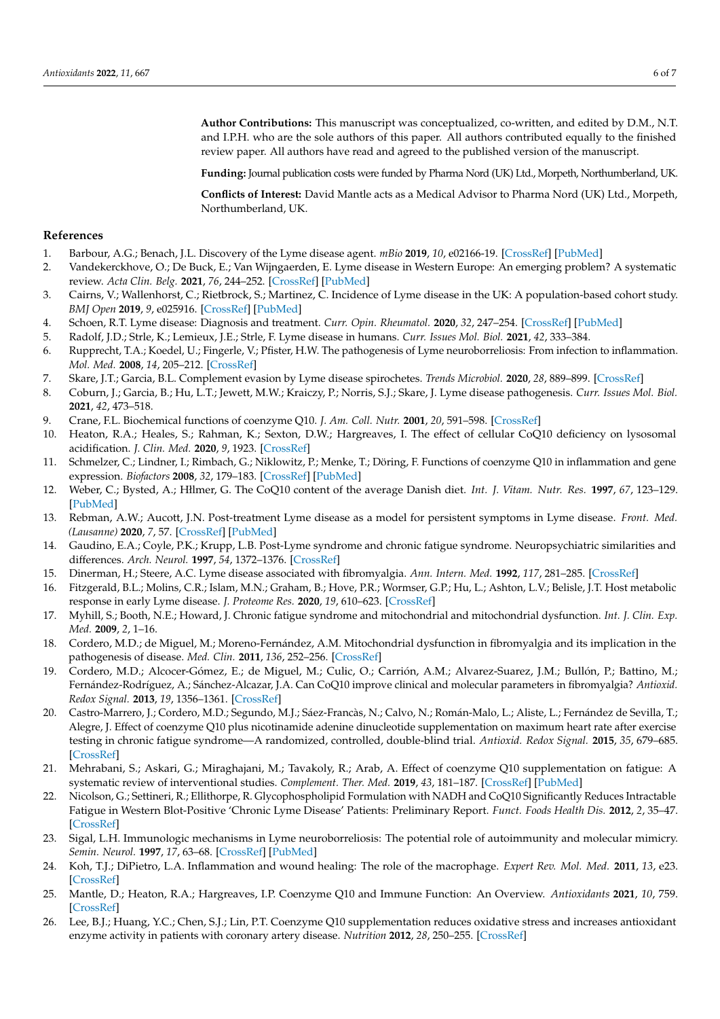**Author Contributions:** This manuscript was conceptualized, co-written, and edited by D.M., N.T. and I.P.H. who are the sole authors of this paper. All authors contributed equally to the finished review paper. All authors have read and agreed to the published version of the manuscript.

**Funding:** Journal publication costs were funded by Pharma Nord (UK) Ltd., Morpeth, Northumberland, UK.

**Conflicts of Interest:** David Mantle acts as a Medical Advisor to Pharma Nord (UK) Ltd., Morpeth, Northumberland, UK.

#### **References**

- <span id="page-6-0"></span>1. Barbour, A.G.; Benach, J.L. Discovery of the Lyme disease agent. *mBio* **2019**, *10*, e02166-19. [\[CrossRef\]](http://doi.org/10.1128/mBio.02166-19) [\[PubMed\]](http://www.ncbi.nlm.nih.gov/pubmed/31530679)
- <span id="page-6-1"></span>2. Vandekerckhove, O.; De Buck, E.; Van Wijngaerden, E. Lyme disease in Western Europe: An emerging problem? A systematic review. *Acta Clin. Belg.* **2021**, *76*, 244–252. [\[CrossRef\]](http://doi.org/10.1080/17843286.2019.1694293) [\[PubMed\]](http://www.ncbi.nlm.nih.gov/pubmed/31739768)
- <span id="page-6-2"></span>3. Cairns, V.; Wallenhorst, C.; Rietbrock, S.; Martinez, C. Incidence of Lyme disease in the UK: A population-based cohort study. *BMJ Open* **2019**, *9*, e025916. [\[CrossRef\]](http://doi.org/10.1136/bmjopen-2018-025916) [\[PubMed\]](http://www.ncbi.nlm.nih.gov/pubmed/31362975)
- <span id="page-6-3"></span>4. Schoen, R.T. Lyme disease: Diagnosis and treatment. *Curr. Opin. Rheumatol.* **2020**, *32*, 247–254. [\[CrossRef\]](http://doi.org/10.1097/BOR.0000000000000698) [\[PubMed\]](http://www.ncbi.nlm.nih.gov/pubmed/32141956)
- <span id="page-6-4"></span>5. Radolf, J.D.; Strle, K.; Lemieux, J.E.; Strle, F. Lyme disease in humans. *Curr. Issues Mol. Biol.* **2021**, *42*, 333–384.
- <span id="page-6-5"></span>6. Rupprecht, T.A.; Koedel, U.; Fingerle, V.; Pfister, H.W. The pathogenesis of Lyme neuroborreliosis: From infection to inflammation. *Mol. Med.* **2008**, *14*, 205–212. [\[CrossRef\]](http://doi.org/10.2119/2007-00091.Rupprecht)
- <span id="page-6-6"></span>7. Skare, J.T.; Garcia, B.L. Complement evasion by Lyme disease spirochetes. *Trends Microbiol.* **2020**, *28*, 889–899. [\[CrossRef\]](http://doi.org/10.1016/j.tim.2020.05.004)
- <span id="page-6-7"></span>8. Coburn, J.; Garcia, B.; Hu, L.T.; Jewett, M.W.; Kraiczy, P.; Norris, S.J.; Skare, J. Lyme disease pathogenesis. *Curr. Issues Mol. Biol.* **2021**, *42*, 473–518.
- <span id="page-6-8"></span>9. Crane, F.L. Biochemical functions of coenzyme Q10. *J. Am. Coll. Nutr.* **2001**, *20*, 591–598. [\[CrossRef\]](http://doi.org/10.1080/07315724.2001.10719063)
- <span id="page-6-9"></span>10. Heaton, R.A.; Heales, S.; Rahman, K.; Sexton, D.W.; Hargreaves, I. The effect of cellular CoQ10 deficiency on lysosomal acidification. *J. Clin. Med.* **2020**, *9*, 1923. [\[CrossRef\]](http://doi.org/10.3390/jcm9061923)
- <span id="page-6-10"></span>11. Schmelzer, C.; Lindner, I.; Rimbach, G.; Niklowitz, P.; Menke, T.; Döring, F. Functions of coenzyme Q10 in inflammation and gene expression. *Biofactors* **2008**, *32*, 179–183. [\[CrossRef\]](http://doi.org/10.1002/biof.5520320121) [\[PubMed\]](http://www.ncbi.nlm.nih.gov/pubmed/19096114)
- <span id="page-6-11"></span>12. Weber, C.; Bysted, A.; Hłlmer, G. The CoQ10 content of the average Danish diet. *Int. J. Vitam. Nutr. Res.* **1997**, *67*, 123–129. [\[PubMed\]](http://www.ncbi.nlm.nih.gov/pubmed/9129255)
- <span id="page-6-12"></span>13. Rebman, A.W.; Aucott, J.N. Post-treatment Lyme disease as a model for persistent symptoms in Lyme disease. *Front. Med. (Lausanne)* **2020**, *7*, 57. [\[CrossRef\]](http://doi.org/10.3389/fmed.2020.00057) [\[PubMed\]](http://www.ncbi.nlm.nih.gov/pubmed/32161761)
- <span id="page-6-13"></span>14. Gaudino, E.A.; Coyle, P.K.; Krupp, L.B. Post-Lyme syndrome and chronic fatigue syndrome. Neuropsychiatric similarities and differences. *Arch. Neurol.* **1997**, *54*, 1372–1376. [\[CrossRef\]](http://doi.org/10.1001/archneur.1997.00550230045015)
- <span id="page-6-14"></span>15. Dinerman, H.; Steere, A.C. Lyme disease associated with fibromyalgia. *Ann. Intern. Med.* **1992**, *117*, 281–285. [\[CrossRef\]](http://doi.org/10.7326/0003-4819-117-4-281)
- <span id="page-6-15"></span>16. Fitzgerald, B.L.; Molins, C.R.; Islam, M.N.; Graham, B.; Hove, P.R.; Wormser, G.P.; Hu, L.; Ashton, L.V.; Belisle, J.T. Host metabolic response in early Lyme disease. *J. Proteome Res.* **2020**, *19*, 610–623. [\[CrossRef\]](http://doi.org/10.1021/acs.jproteome.9b00470)
- <span id="page-6-16"></span>17. Myhill, S.; Booth, N.E.; Howard, J. Chronic fatigue syndrome and mitochondrial and mitochondrial dysfunction. *Int. J. Clin. Exp. Med.* **2009**, *2*, 1–16.
- <span id="page-6-17"></span>18. Cordero, M.D.; de Miguel, M.; Moreno-Fernández, A.M. Mitochondrial dysfunction in fibromyalgia and its implication in the pathogenesis of disease. *Med. Clin.* **2011**, *136*, 252–256. [\[CrossRef\]](http://doi.org/10.1016/j.medcli.2010.01.030)
- <span id="page-6-18"></span>19. Cordero, M.D.; Alcocer-Gómez, E.; de Miguel, M.; Culic, O.; Carrión, A.M.; Alvarez-Suarez, J.M.; Bullón, P.; Battino, M.; Fernández-Rodríguez, A.; Sánchez-Alcazar, J.A. Can CoQ10 improve clinical and molecular parameters in fibromyalgia? *Antioxid. Redox Signal.* **2013**, *19*, 1356–1361. [\[CrossRef\]](http://doi.org/10.1089/ars.2013.5260)
- <span id="page-6-19"></span>20. Castro-Marrero, J.; Cordero, M.D.; Segundo, M.J.; Sáez-Francàs, N.; Calvo, N.; Román-Malo, L.; Aliste, L.; Fernández de Sevilla, T.; Alegre, J. Effect of coenzyme Q10 plus nicotinamide adenine dinucleotide supplementation on maximum heart rate after exercise testing in chronic fatigue syndrome—A randomized, controlled, double-blind trial. *Antioxid. Redox Signal.* **2015**, *35*, 679–685. [\[CrossRef\]](http://doi.org/10.1089/ars.2014.6181)
- <span id="page-6-20"></span>21. Mehrabani, S.; Askari, G.; Miraghajani, M.; Tavakoly, R.; Arab, A. Effect of coenzyme Q10 supplementation on fatigue: A systematic review of interventional studies. *Complement. Ther. Med.* **2019**, *43*, 181–187. [\[CrossRef\]](http://doi.org/10.1016/j.ctim.2019.01.022) [\[PubMed\]](http://www.ncbi.nlm.nih.gov/pubmed/30935528)
- <span id="page-6-21"></span>22. Nicolson, G.; Settineri, R.; Ellithorpe, R. Glycophospholipid Formulation with NADH and CoQ10 Significantly Reduces Intractable Fatigue in Western Blot-Positive 'Chronic Lyme Disease' Patients: Preliminary Report. *Funct. Foods Health Dis.* **2012**, *2*, 35–47. [\[CrossRef\]](http://doi.org/10.31989/ffhd.v2i3.100)
- <span id="page-6-22"></span>23. Sigal, L.H. Immunologic mechanisms in Lyme neuroborreliosis: The potential role of autoimmunity and molecular mimicry. *Semin. Neurol.* **1997**, *17*, 63–68. [\[CrossRef\]](http://doi.org/10.1055/s-2008-1040915) [\[PubMed\]](http://www.ncbi.nlm.nih.gov/pubmed/9166962)
- <span id="page-6-23"></span>24. Koh, T.J.; DiPietro, L.A. Inflammation and wound healing: The role of the macrophage. *Expert Rev. Mol. Med.* **2011**, *13*, e23. [\[CrossRef\]](http://doi.org/10.1017/S1462399411001943)
- <span id="page-6-24"></span>25. Mantle, D.; Heaton, R.A.; Hargreaves, I.P. Coenzyme Q10 and Immune Function: An Overview. *Antioxidants* **2021**, *10*, 759. [\[CrossRef\]](http://doi.org/10.3390/antiox10050759)
- <span id="page-6-25"></span>26. Lee, B.J.; Huang, Y.C.; Chen, S.J.; Lin, P.T. Coenzyme Q10 supplementation reduces oxidative stress and increases antioxidant enzyme activity in patients with coronary artery disease. *Nutrition* **2012**, *28*, 250–255. [\[CrossRef\]](http://doi.org/10.1016/j.nut.2011.06.004)